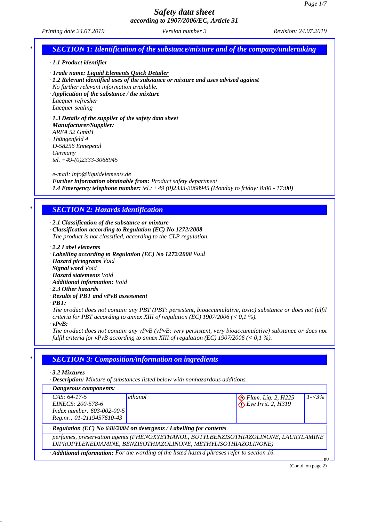#### *Printing date 24.07.2019 Revision: 24.07.2019 Version number 3*

## *SECTION 1: Identification of the substance/mixture and of the company/undertaking*

#### *· 1.1 Product identifier*

*· Trade name: Liquid Elements Quick Detailer*

*· 1.2 Relevant identified uses of the substance or mixture and uses advised against No further relevant information available.*

*· Application of the substance / the mixture*

*Lacquer refresher Lacquer sealing*

#### *· 1.3 Details of the supplier of the safety data sheet*

*· Manufacturer/Supplier: AREA 52 GmbH Thüngenfeld 4 D-58256 Ennepetal Germany tel. +49-(0)2333-3068945*

*e-mail: info@liquidelements.de*

*· Further information obtainable from: Product safety department*

*· 1.4 Emergency telephone number: tel.: +49 (0)2333-3068945 (Monday to friday: 8:00 - 17:00)*

## *\* SECTION 2: Hazards identification*

*· 2.1 Classification of the substance or mixture*

*· Classification according to Regulation (EC) No 1272/2008*

*The product is not classified, according to the CLP regulation.*

- *· 2.2 Label elements*
- *· Labelling according to Regulation (EC) No 1272/2008 Void*
- *· Hazard pictograms Void*
- *· Signal word Void*
- *· Hazard statements Void*
- *· Additional information: Void*
- *· 2.3 Other hazards*
- *· Results of PBT and vPvB assessment*
- *· PBT:*

*The product does not contain any PBT (PBT: persistent, bioaccumulative, toxic) substance or does not fulfil criteria for PBT according to annex XIII of regulation (EC) 1907/2006 (< 0,1 %).*

*· vPvB:*

*The product does not contain any vPvB (vPvB: very persistent, very bioaccumulative) substance or does not fulfil criteria for vPvB according to annex XIII of regulation (EC) 1907/2006 (< 0,1 %).*

### *\* SECTION 3: Composition/information on ingredients*

*· 3.2 Mixtures*

*· Description: Mixture of substances listed below with nonhazardous additions.*

*· Dangerous components:*

| $CAS: 64-17-5$                                                                                           | ethanol |                    | $1 - 3\%$ |  |
|----------------------------------------------------------------------------------------------------------|---------|--------------------|-----------|--|
| EINECS: 200-578-6                                                                                        |         | Elam. Liq. 2, H225 |           |  |
| Index number: $603-002-00-5$                                                                             |         |                    |           |  |
| Reg.nr.: 01-2119457610-43                                                                                |         |                    |           |  |
| · Regulation (EC) No 648/2004 on detergents / Labelling for contents                                     |         |                    |           |  |
| perfumes, preservation agents (PHENOXYETHANOL, BUTYLBENZISOTHIAZOLINONE, LAURYLAMINE                     |         |                    |           |  |
| DIPROPYLENEDIAMINE, BENZISOTHIAZOLINONE, METHYLISOTHIAZOLINONE)                                          |         |                    |           |  |
| $\cdot$ <b>Additional information:</b> For the wording of the listed hazard phrases refer to section 16. |         |                    |           |  |
|                                                                                                          |         |                    | EU        |  |

(Contd. on page 2)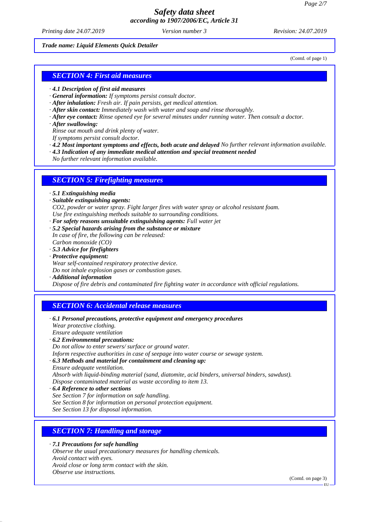*Printing date 24.07.2019 Revision: 24.07.2019 Version number 3*

#### *Trade name: Liquid Elements Quick Detailer*

(Contd. of page 1)

### *SECTION 4: First aid measures*

- *· 4.1 Description of first aid measures*
- *· General information: If symptoms persist consult doctor.*
- *· After inhalation: Fresh air. If pain persists, get medical attention.*
- *· After skin contact: Immediately wash with water and soap and rinse thoroughly.*
- *· After eye contact: Rinse opened eye for several minutes under running water. Then consult a doctor.*
- *· After swallowing:*

*Rinse out mouth and drink plenty of water.*

- *If symptoms persist consult doctor.*
- *· 4.2 Most important symptoms and effects, both acute and delayed No further relevant information available.*
- *· 4.3 Indication of any immediate medical attention and special treatment needed*
- *No further relevant information available.*

### *SECTION 5: Firefighting measures*

- *· 5.1 Extinguishing media*
- *· Suitable extinguishing agents:*

*CO2, powder or water spray. Fight larger fires with water spray or alcohol resistant foam. Use fire extinguishing methods suitable to surrounding conditions.*

- *· For safety reasons unsuitable extinguishing agents: Full water jet*
- *· 5.2 Special hazards arising from the substance or mixture In case of fire, the following can be released:*
- *Carbon monoxide (CO)*
- *· 5.3 Advice for firefighters*
- *· Protective equipment:*

*Wear self-contained respiratory protective device.*

*Do not inhale explosion gases or combustion gases.*

*· Additional information*

*Dispose of fire debris and contaminated fire fighting water in accordance with official regulations.*

### *SECTION 6: Accidental release measures*

- *· 6.1 Personal precautions, protective equipment and emergency procedures Wear protective clothing. Ensure adequate ventilation*
- *· 6.2 Environmental precautions:*
- *Do not allow to enter sewers/ surface or ground water.*
- *Inform respective authorities in case of seepage into water course or sewage system.*
- *· 6.3 Methods and material for containment and cleaning up: Ensure adequate ventilation.*

*Absorb with liquid-binding material (sand, diatomite, acid binders, universal binders, sawdust). Dispose contaminated material as waste according to item 13.*

- *· 6.4 Reference to other sections See Section 7 for information on safe handling. See Section 8 for information on personal protection equipment.*
- *See Section 13 for disposal information.*

## *SECTION 7: Handling and storage*

*· 7.1 Precautions for safe handling*

*Observe the usual precautionary measures for handling chemicals. Avoid contact with eyes. Avoid close or long term contact with the skin.*

*Observe use instructions.*

(Contd. on page 3)

EU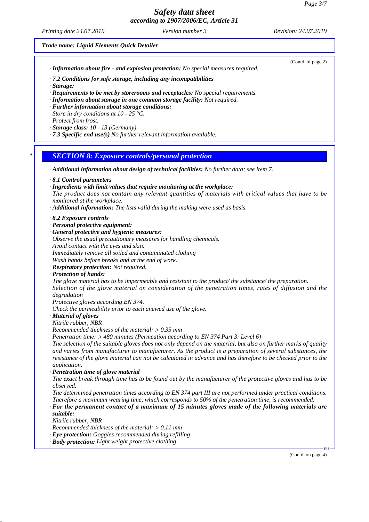*Printing date 24.07.2019 Revision: 24.07.2019 Version number 3*

(Contd. of page 2)

*Trade name: Liquid Elements Quick Detailer*

*· Information about fire - and explosion protection: No special measures required.*

*· 7.2 Conditions for safe storage, including any incompatibilities*

*· Storage:*

*· Requirements to be met by storerooms and receptacles: No special requirements.*

- *· Information about storage in one common storage facility: Not required.*
- *· Further information about storage conditions:*
- *Store in dry conditions at 10 25 °C. Protect from frost.*
- *· Storage class: 10 13 (Germany)*
- *· 7.3 Specific end use(s) No further relevant information available.*

### *\* SECTION 8: Exposure controls/personal protection*

- *· Additional information about design of technical facilities: No further data; see item 7.*
- *· 8.1 Control parameters*
- *· Ingredients with limit values that require monitoring at the workplace:*

*The product does not contain any relevant quantities of materials with critical values that have to be monitored at the workplace.*

- *· Additional information: The lists valid during the making were used as basis.*
- *· 8.2 Exposure controls*
- *· Personal protective equipment:*
- *· General protective and hygienic measures:*
- *Observe the usual precautionary measures for handling chemicals. Avoid contact with the eyes and skin.*
- *Immediately remove all soiled and contaminated clothing*

*Wash hands before breaks and at the end of work.*

- *· Respiratory protection: Not required.*
- *· Protection of hands:*

*The glove material has to be impermeable and resistant to the product/ the substance/ the preparation. Selection of the glove material on consideration of the penetration times, rates of diffusion and the degradation*

*Protective gloves according EN 374.*

*Check the permeability prior to each anewed use of the glove.*

*· Material of gloves*

*Nitrile rubber, NBR*

*Recommended thickness of the material:*  $\geq 0.35$  *mm* 

*Penetration time: 480 minutes (Permeation according to EN 374 Part 3: Level 6)*

*The selection of the suitable gloves does not only depend on the material, but also on further marks of quality and varies from manufacturer to manufacturer. As the product is a preparation of several substances, the resistance of the glove material can not be calculated in advance and has therefore to be checked prior to the application.*

*· Penetration time of glove material*

*The exact break through time has to be found out by the manufacturer of the protective gloves and has to be observed.*

*The determined penetration times according to EN 374 part III are not performed under practical conditions. Therefore a maximum wearing time, which corresponds to 50% of the penetration time, is recommended.*

*· For the permanent contact of a maximum of 15 minutes gloves made of the following materials are suitable:*

*Nitrile rubber, NBR*

*Recommended thickness of the material:*  $\geq 0.11$  *mm* 

- *· Eye protection: Goggles recommended during refilling*
- *· Body protection: Light weight protective clothing*

(Contd. on page 4)

EU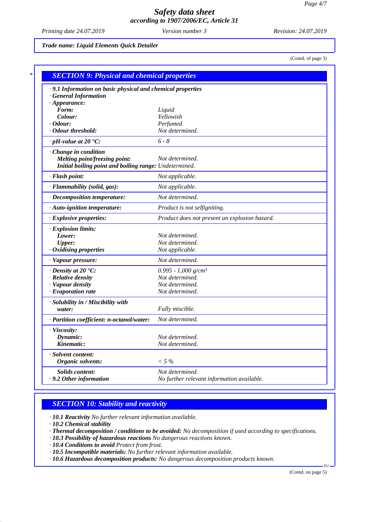*Printing date 24.07.2019 Revision: 24.07.2019 Version number 3*

*Trade name: Liquid Elements Quick Detailer*

(Contd. of page 3)

|                                                        | · 9.1 Information on basic physical and chemical properties |  |  |
|--------------------------------------------------------|-------------------------------------------------------------|--|--|
| <b>General Information</b>                             |                                                             |  |  |
| $\cdot$ Appearance:                                    |                                                             |  |  |
| Form:                                                  | Liquid                                                      |  |  |
| Colour:                                                | Yellowish                                                   |  |  |
| <i>Cdour:</i><br>· Odour threshold:                    | Perfumed<br>Not determined.                                 |  |  |
|                                                        |                                                             |  |  |
| $\cdot$ pH-value at 20 $\textdegree$ C:                | $6 - 8$                                                     |  |  |
| $\cdot$ Change in condition                            |                                                             |  |  |
| <b>Melting point/freezing point:</b>                   | Not determined.                                             |  |  |
| Initial boiling point and boiling range: Undetermined. |                                                             |  |  |
| $\cdot$ Flash point:                                   | Not applicable.                                             |  |  |
| · Flammability (solid, gas):                           | Not applicable.                                             |  |  |
| $\cdot$ Decomposition temperature:                     | Not determined.                                             |  |  |
| · Auto-ignition temperature:                           | Product is not selfigniting.                                |  |  |
| · Explosive properties:                                | Product does not present an explosion hazard.               |  |  |
| · Explosion limits:                                    |                                                             |  |  |
| Lower:                                                 | Not determined.                                             |  |  |
| <b>Upper:</b>                                          | Not determined.                                             |  |  |
| · Oxidising properties                                 | Not applicable.                                             |  |  |
| · Vapour pressure:                                     | Not determined.                                             |  |  |
| $\cdot$ Density at 20 $\cdot$ C:                       | $0.995 - 1,000$ g/cm <sup>3</sup>                           |  |  |
| · Relative density                                     | Not determined.                                             |  |  |
| · Vapour density                                       | Not determined.                                             |  |  |
| $\cdot$ Evaporation rate                               | Not determined.                                             |  |  |
| · Solubility in / Miscibility with                     |                                                             |  |  |
| water:                                                 | Fully miscible.                                             |  |  |
| · Partition coefficient: n-octanol/water:              | Not determined.                                             |  |  |
| · Viscosity:                                           |                                                             |  |  |
| Dynamic:                                               | Not determined.                                             |  |  |
| Kinematic:                                             | Not determined.                                             |  |  |
| · Solvent content:                                     |                                                             |  |  |
| Organic solvents:                                      | $< 5\%$                                                     |  |  |
| <b>Solids content:</b>                                 | Not determined.                                             |  |  |
| .9.2 Other information                                 | No further relevant information available.                  |  |  |

## *SECTION 10: Stability and reactivity*

*· 10.1 Reactivity No further relevant information available.*

*· 10.2 Chemical stability*

- *· Thermal decomposition / conditions to be avoided: No decomposition if used according to specifications.*
- *· 10.3 Possibility of hazardous reactions No dangerous reactions known.*
- *· 10.4 Conditions to avoid Protect from frost.*

*· 10.5 Incompatible materials: No further relevant information available.*

*· 10.6 Hazardous decomposition products: No dangerous decomposition products known.*

(Contd. on page 5)

EU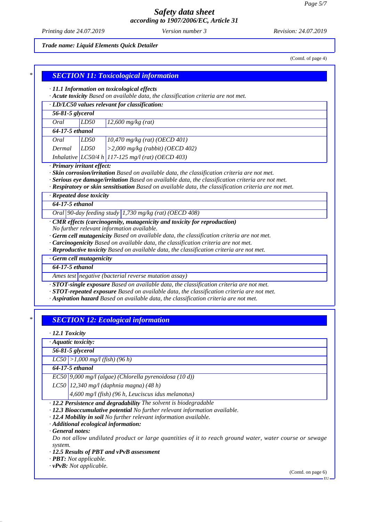*Printing date 24.07.2019 Revision: 24.07.2019 Version number 3*

#### *Trade name: Liquid Elements Quick Detailer*

(Contd. of page 4)

| · LD/LC50 values relevant for classification: |      |                                                            |
|-----------------------------------------------|------|------------------------------------------------------------|
| 56-81-5 glycerol                              |      |                                                            |
| Oral                                          | LD50 | $12,600$ mg/kg (rat)                                       |
| 64-17-5 ethanol                               |      |                                                            |
| Oral                                          | LD50 | $10,470$ mg/kg (rat) (OECD 401)                            |
| Dermal                                        | LD50 | $>$ 2,000 mg/kg (rabbit) (OECD 402)                        |
|                                               |      | <i>Inhalative</i> $LC50/4 h$ 117-125 mg/l (rat) (OECD 403) |

*· Respiratory or skin sensitisation Based on available data, the classification criteria are not met.*

|  | · Repeated dose toxicity |  |  |  |
|--|--------------------------|--|--|--|
|--|--------------------------|--|--|--|

*64-17-5 ethanol*

*Oral 90-day feeding study 1,730 mg/kg (rat) (OECD 408)*

- *· CMR effects (carcinogenity, mutagenicity and toxicity for reproduction) No further relevant information available.*
- *· Germ cell mutagenicity Based on available data, the classification criteria are not met.*
- *· Carcinogenicity Based on available data, the classification criteria are not met.*

*· Reproductive toxicity Based on available data, the classification criteria are not met.*

*· Germ cell mutagenicity*

*64-17-5 ethanol*

*Ames test negative (bacterial reverse mutation assay)*

*· STOT-single exposure Based on available data, the classification criteria are not met.*

*· STOT-repeated exposure Based on available data, the classification criteria are not met.*

*· Aspiration hazard Based on available data, the classification criteria are not met.*

## *\* SECTION 12: Ecological information*

*· 12.1 Toxicity*

*· Aquatic toxicity:*

*56-81-5 glycerol*

*LC50 >1,000 mg/l (fish) (96 h)*

*64-17-5 ethanol*

*EC50 9,000 mg/l (algae) (Chlorella pyrenoidosa (10 d))*

*LC50 12,340 mg/l (daphnia magna) (48 h)*

*4,600 mg/l (fish) (96 h, Leuciscus idus melanotus)*

*· 12.2 Persistence and degradability The solvent is biodegradable*

- *· 12.3 Bioaccumulative potential No further relevant information available.*
- *· 12.4 Mobility in soil No further relevant information available.*

*· Additional ecological information:*

*· General notes:*

*Do not allow undiluted product or large quantities of it to reach ground water, water course or sewage system.*

*· 12.5 Results of PBT and vPvB assessment*

*· PBT: Not applicable.*

*· vPvB: Not applicable.*

(Contd. on page 6)

EU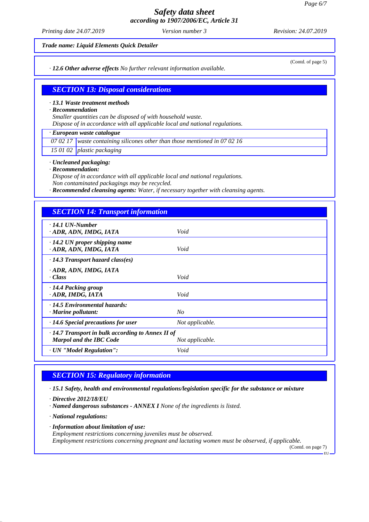*Printing date 24.07.2019 Revision: 24.07.2019 Version number 3*

*Trade name: Liquid Elements Quick Detailer*

*· 12.6 Other adverse effects No further relevant information available.*

(Contd. of page 5)

## *SECTION 13: Disposal considerations*

#### *· 13.1 Waste treatment methods*

*· Recommendation*

*Smaller quantities can be disposed of with household waste.*

*Dispose of in accordance with all applicable local and national regulations.*

## *· European waste catalogue*

*07 02 17 waste containing silicones other than those mentioned in 07 02 16*

*15 01 02 plastic packaging*

*· Uncleaned packaging:*

*· Recommendation:*

*Dispose of in accordance with all applicable local and national regulations.*

*Non contaminated packagings may be recycled.*

*· Recommended cleansing agents: Water, if necessary together with cleansing agents.*

### *SECTION 14: Transport information*

| $\cdot$ 14.1 UN-Number<br>ADR, ADN, IMDG, IATA                 | Void            |  |
|----------------------------------------------------------------|-----------------|--|
| $\cdot$ 14.2 UN proper shipping name<br>· ADR, ADN, IMDG, IATA | Void            |  |
| $\cdot$ 14.3 Transport hazard class(es)                        |                 |  |
| ADR, ADN, IMDG, IATA                                           |                 |  |
| · Class                                                        | Void            |  |
| · 14.4 Packing group                                           |                 |  |
| · ADR, IMDG, IATA                                              | Void            |  |
| $\cdot$ 14.5 Environmental hazards:                            |                 |  |
| · Marine pollutant:                                            | No              |  |
| $\cdot$ 14.6 Special precautions for user                      | Not applicable. |  |
| $\cdot$ 14.7 Transport in bulk according to Annex II of        |                 |  |
| <b>Marpol and the IBC Code</b>                                 | Not applicable. |  |
| · UN "Model Regulation":                                       | Void            |  |
|                                                                |                 |  |

## *SECTION 15: Regulatory information*

*· 15.1 Safety, health and environmental regulations/legislation specific for the substance or mixture*

- *· Directive 2012/18/EU*
- *· Named dangerous substances ANNEX I None of the ingredients is listed.*

*· National regulations:*

*· Information about limitation of use:*

*Employment restrictions concerning juveniles must be observed.*

*Employment restrictions concerning pregnant and lactating women must be observed, if applicable.*

(Contd. on page 7) .<br>EU